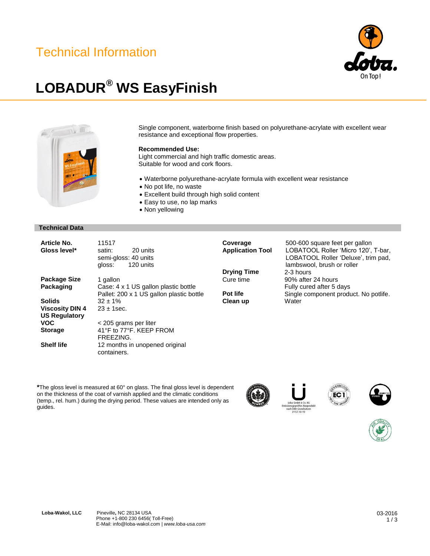### Technical Information



## **LOBADUR® WS EasyFinish**



Single component, waterborne finish based on polyurethane-acrylate with excellent wear resistance and exceptional flow properties.

### **Recommended Use:**

Light commercial and high traffic domestic areas. Suitable for wood and cork floors.

- Waterborne polyurethane-acrylate formula with excellent wear resistance
- No pot life, no waste
- Excellent build through high solid content
- Easy to use, no lap marks
- Non yellowing

#### **Technical Data**

| <b>Package Size</b><br>1 gallon                                                               |  |
|-----------------------------------------------------------------------------------------------|--|
| Packaging<br>Case: 4 x 1 US gallon plastic bottle<br>Pallet: 200 x 1 US gallon plastic bottle |  |
| <b>Solids</b><br>$32 \pm 1\%$                                                                 |  |
| <b>Viscosity DIN 4</b><br>$23 + 1$ sec.                                                       |  |
| <b>US Regulatory</b>                                                                          |  |
| <b>VOC</b><br>< 205 grams per liter                                                           |  |
| 41°F to 77°F. KEEP FROM<br><b>Storage</b>                                                     |  |
| FRFF7ING.                                                                                     |  |
| <b>Shelf life</b><br>12 months in unopened original<br>containers.                            |  |

**Drying Time** 2-3 hours<br>Cure time 90% after

**Clean up** 

**Coverage** 500-600 square feet per gallon<br>**Application Tool** LOBATOOL Roller 'Micro 120', LOBATOOL Roller 'Micro 120', T-bar, LOBATOOL Roller 'Deluxe', trim pad, lambswool, brush or roller 90% after 24 hours Fully cured after 5 days **Pot life** Single component product. No potlife.<br>
Clean up Water

EC<sub>1</sub>

**\***The gloss level is measured at 60° on glass. The final gloss level is dependent on the thickness of the coat of varnish applied and the climatic conditions (temp., rel. hum.) during the drying period. These values are intended only as guides.







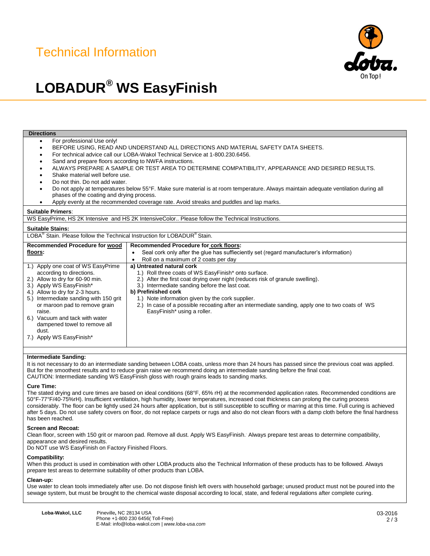## Technical Information



# **LOBADUR® WS EasyFinish**

| <b>Directions</b>                                                                                                                                                                             |                                                                                                      |  |
|-----------------------------------------------------------------------------------------------------------------------------------------------------------------------------------------------|------------------------------------------------------------------------------------------------------|--|
| For professional Use only!<br>$\bullet$                                                                                                                                                       |                                                                                                      |  |
| BEFORE USING, READ AND UNDERSTAND ALL DIRECTIONS AND MATERIAL SAFETY DATA SHEETS.<br>$\bullet$                                                                                                |                                                                                                      |  |
| For technical advice call our LOBA-Wakol Technical Service at 1-800.230.6456.<br>٠                                                                                                            |                                                                                                      |  |
| Sand and prepare floors according to NWFA instructions.                                                                                                                                       |                                                                                                      |  |
| ALWAYS PREPARE A SAMPLE OR TEST AREA TO DETERMINE COMPATIBILITY, APPEARANCE AND DESIRED RESULTS.<br>$\bullet$                                                                                 |                                                                                                      |  |
| Shake material well before use.                                                                                                                                                               |                                                                                                      |  |
| Do not thin. Do not add water.                                                                                                                                                                |                                                                                                      |  |
| Do not apply at temperatures below 55°F. Make sure material is at room temperature. Always maintain adequate ventilation during all<br>$\bullet$<br>phases of the coating and drying process. |                                                                                                      |  |
| Apply evenly at the recommended coverage rate. Avoid streaks and puddles and lap marks.<br>$\bullet$                                                                                          |                                                                                                      |  |
|                                                                                                                                                                                               |                                                                                                      |  |
| <b>Suitable Primers:</b>                                                                                                                                                                      |                                                                                                      |  |
| WS EasyPrime, HS 2K Intensive and HS 2K IntensiveColor Please follow the Technical Instructions.                                                                                              |                                                                                                      |  |
| <b>Suitable Stains:</b>                                                                                                                                                                       |                                                                                                      |  |
| LOBA <sup>®</sup> Stain. Please follow the Technical Instruction for LOBADUR <sup>®</sup> Stain.                                                                                              |                                                                                                      |  |
| <b>Recommended Procedure for wood</b>                                                                                                                                                         | Recommended Procedure for cork floors:                                                               |  |
| floors:                                                                                                                                                                                       | Seal cork only after the glue has suffieciently set (regard manufacturer's information)<br>$\bullet$ |  |
|                                                                                                                                                                                               | Roll on a maximum of 2 coats per day<br>$\bullet$                                                    |  |
| 1.) Apply one coat of WS EasyPrime                                                                                                                                                            | a) Untreated natural cork                                                                            |  |
| according to directions.                                                                                                                                                                      | 1.) Roll three coats of WS EasyFinish* onto surface.                                                 |  |
| 2.) Allow to dry for 60-90 min.                                                                                                                                                               | 2.) After the first coat drying over night (reduces risk of granule swelling).                       |  |
| 3.) Apply WS EasyFinish*                                                                                                                                                                      | 3.) Intermediate sanding before the last coat.                                                       |  |
| 4.) Allow to dry for 2-3 hours.                                                                                                                                                               | b) Prefinished cork                                                                                  |  |
| 5.) Intermediate sanding with 150 grit                                                                                                                                                        | 1.) Note information given by the cork supplier.                                                     |  |
| or maroon pad to remove grain                                                                                                                                                                 | 2.) In case of a possible recoating after an intermediate sanding, apply one to two coats of WS      |  |
| raise.                                                                                                                                                                                        | EasyFinish* using a roller.                                                                          |  |
| 6.) Vacuum and tack with water                                                                                                                                                                |                                                                                                      |  |
| dampened towel to remove all<br>dust.                                                                                                                                                         |                                                                                                      |  |
| 7.) Apply WS EasyFinish*                                                                                                                                                                      |                                                                                                      |  |
|                                                                                                                                                                                               |                                                                                                      |  |
|                                                                                                                                                                                               |                                                                                                      |  |
| Intermediate Sanding:                                                                                                                                                                         |                                                                                                      |  |
| It is not necessary to do an intermediate sanding between LOBA coats, unless more than 24 hours has passed since the previous coat was applied.                                               |                                                                                                      |  |

But for the smoothest results and to reduce grain raise we recommend doing an intermediate sanding before the final coat. CAUTION: Intermediate sanding WS EasyFinish gloss with rough grains leads to sanding marks.

#### **Cure Time:**

The stated drying and cure times are based on ideal conditions (68°F, 65% rH) at the recommended application rates. Recommended conditions are 50°F-77°F/40-75%rH). Insufficient ventilation, high humidity, lower temperatures, increased coat thickness can prolong the curing process considerably. The floor can be lightly used 24 hours after application, but is still susceptible to scuffing or marring at this time. Full curing is achieved after 5 days. Do not use safety covers on floor, do not replace carpets or rugs and also do not clean floors with a damp cloth before the final hardness has been reached.

#### **Screen and Recoat:**

Clean floor, screen with 150 grit or maroon pad. Remove all dust. Apply WS EasyFinish.. Always prepare test areas to determine compatibility, appearance and desired results.

Do NOT use WS EasyFinish on Factory Finished Floors.

#### **Compatibility:**

When this product is used in combination with other LOBA products also the Technical Information of these products has to be followed. Always prepare test areas to determine suitability of other products than LOBA.

#### **Clean-up:**

Use water to clean tools immediately after use. Do not dispose finish left overs with household garbage; unused product must not be poured into the sewage system, but must be brought to the chemical waste disposal according to local, state, and federal regulations after complete curing.